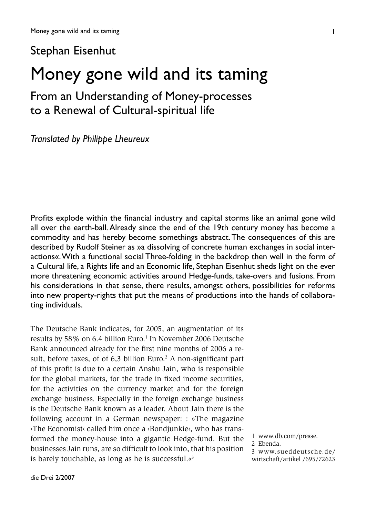### Stephan Eisenhut

# Money gone wild and its taming

## From an Understanding of Money-processes to a Renewal of Cultural-spiritual life

*Translated by Philippe Lheureux*

Profits explode within the financial industry and capital storms like an animal gone wild all over the earth-ball. Already since the end of the 19th century money has become a commodity and has hereby become somethings abstract. The consequences of this are described by Rudolf Steiner as »a dissolving of concrete human exchanges in social interactions«. With a functional social Three-folding in the backdrop then well in the form of a Cultural life, a Rights life and an Economic life, Stephan Eisenhut sheds light on the ever more threatening economic activities around Hedge-funds, take-overs and fusions. From his considerations in that sense, there results, amongst others, possibilities for reforms into new property-rights that put the means of productions into the hands of collaborating individuals.

The Deutsche Bank indicates, for 2005, an augmentation of its results by 58% on 6.4 billion Euro.<sup>1</sup> In November 2006 Deutsche Bank announced already for the first nine months of 2006 a result, before taxes, of of  $6,3$  billion Euro.<sup>2</sup> A non-significant part of this profit is due to a certain Anshu Jain, who is responsible for the global markets, for the trade in fixed income securities, for the activities on the currency market and for the foreign exchange business. Especially in the foreign exchange business is the Deutsche Bank known as a leader. About Jain there is the following account in a German newspaper: : »The magazine ›The Economist‹ called him once a ›Bondjunkie‹, who has transformed the money-house into a gigantic Hedge-fund. But the businesses Jain runs, are so difficult to look into, that his position is barely touchable, as long as he is successful. $\alpha^3$ 

1

<sup>1</sup> www.db.com/presse.

<sup>2</sup> Ebenda.

<sup>3</sup> www.sueddeutsche.de/ wirtschaft/artikel /695/72623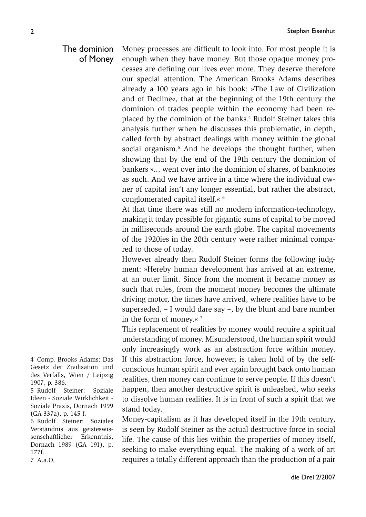#### Money processes are difficult to look into. For most people it is enough when they have money. But those opaque money processes are defining our lives ever more. They deserve therefore our special attention. The American Brooks Adams describes already a 100 years ago in his book: »The Law of Civilization and of Decline«, that at the beginning of the 19th century the dominion of trades people within the economy had been replaced by the dominion of the banks.<sup>4</sup> Rudolf Steiner takes this analysis further when he discusses this problematic, in depth, called forth by abstract dealings with money within the global social organism.<sup>5</sup> And he develops the thought further, when showing that by the end of the 19th century the dominion of bankers »... went over into the dominion of shares, of banknotes as such. And we have arrive in a time where the individual owner of capital isn't any longer essential, but rather the abstract, conglomerated capital itself.« 6 The dominion of Money

At that time there was still no modern information-technology, making it today possible for gigantic sums of capital to be moved in milliseconds around the earth globe. The capital movements of the 1920ies in the 20th century were rather minimal compared to those of today.

However already then Rudolf Steiner forms the following judgment: »Hereby human development has arrived at an extreme, at an outer limit. Since from the moment it became money as such that rules, from the moment money becomes the ultimate driving motor, the times have arrived, where realities have to be superseded, – I would dare say –, by the blunt and bare number in the form of money.« 7

This replacement of realities by money would require a spiritual understanding of money. Misunderstood, the human spirit would only increasingly work as an abstraction force within money. If this abstraction force, however, is taken hold of by the selfconscious human spirit and ever again brought back onto human realities, then money can continue to serve people. If this doesn't happen, then another destructive spirit is unleashed, who seeks to dissolve human realities. It is in front of such a spirit that we stand today.

Money-capitalism as it has developed itself in the 19th century, is seen by Rudolf Steiner as the actual destructive force in social life. The cause of this lies within the properties of money itself, seeking to make everything equal. The making of a work of art requires a totally different approach than the production of a pair

4 Comp. Brooks Adams: Das Gesetz der Zivilisation und des Verfalls, Wien / Leipzig 1907, p. 386.

5 Rudolf Steiner: Soziale Ideen - Soziale Wirklichkeit - Soziale Praxis, Dornach 1999 (GA 337a), p. 145 f.

6 Rudolf Steiner: Soziales Verständnis aus geisteswissenschaftlicher Erkenntnis, Dornach 1989 (GA 191), p. 177f.

7 A.a.O.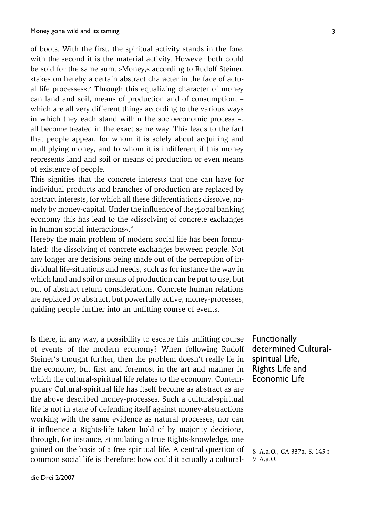of boots. With the first, the spiritual activity stands in the fore, with the second it is the material activity. However both could be sold for the same sum. »Money,« according to Rudolf Steiner, »takes on hereby a certain abstract character in the face of actual life processes«.<sup>8</sup> Through this equalizing character of money can land and soil, means of production and of consumption, – which are all very different things according to the various ways in which they each stand within the socioeconomic process –, all become treated in the exact same way. This leads to the fact that people appear, for whom it is solely about acquiring and multiplying money, and to whom it is indifferent if this money represents land and soil or means of production or even means of existence of people.

This signifies that the concrete interests that one can have for individual products and branches of production are replaced by abstract interests, for which all these differentiations dissolve, namely by money-capital. Under the influence of the global banking economy this has lead to the »dissolving of concrete exchanges in human social interactions«.<sup>9</sup>

Hereby the main problem of modern social life has been formulated: the dissolving of concrete exchanges between people. Not any longer are decisions being made out of the perception of individual life-situations and needs, such as for instance the way in which land and soil or means of production can be put to use, but out of abstract return considerations. Concrete human relations are replaced by abstract, but powerfully active, money-processes, guiding people further into an unfitting course of events.

Is there, in any way, a possibility to escape this unfitting course of events of the modern economy? When following Rudolf Steiner's thought further, then the problem doesn't really lie in the economy, but first and foremost in the art and manner in which the cultural-spiritual life relates to the economy. Contemporary Cultural-spiritual life has itself become as abstract as are the above described money-processes. Such a cultural-spiritual life is not in state of defending itself against money-abstractions working with the same evidence as natural processes, nor can it influence a Rights-life taken hold of by majority decisions, through, for instance, stimulating a true Rights-knowledge, one gained on the basis of a free spiritual life. A central question of common social life is therefore: how could it actually a cultural-

**Functionally** determined Culturalspiritual Life, Rights Life and Economic Life

8 A.a.O., GA 337a, S. 145 f 9 A.a.O.

3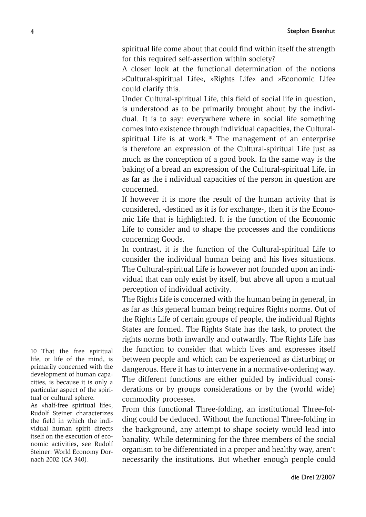spiritual life come about that could find within itself the strength for this required self-assertion within society?

A closer look at the functional determination of the notions »Cultural-spiritual Life«, »Rights Life« and »Economic Life« could clarify this.

Under Cultural-spiritual Life, this field of social life in question, is understood as to be primarily brought about by the individual. It is to say: everywhere where in social life something comes into existence through individual capacities, the Culturalspiritual Life is at work.<sup>10</sup> The management of an enterprise is therefore an expression of the Cultural-spiritual Life just as much as the conception of a good book. In the same way is the baking of a bread an expression of the Cultural-spiritual Life, in as far as the i ndividual capacities of the person in question are concerned.

If however it is more the result of the human activity that is considered, -destined as it is for exchange-, then it is the Economic Life that is highlighted. It is the function of the Economic Life to consider and to shape the processes and the conditions concerning Goods.

In contrast, it is the function of the Cultural-spiritual Life to consider the individual human being and his lives situations. The Cultural-spiritual Life is however not founded upon an individual that can only exist by itself, but above all upon a mutual perception of individual activity.

The Rights Life is concerned with the human being in general, in as far as this general human being requires Rights norms. Out of the Rights Life of certain groups of people, the individual Rights States are formed. The Rights State has the task, to protect the rights norms both inwardly and outwardly. The Rights Life has the function to consider that which lives and expresses itself between people and which can be experienced as disturbing or dangerous. Here it has to intervene in a normative-ordering way. The different functions are either guided by individual considerations or by groups considerations or by the (world wide) commodity processes.

From this functional Three-folding, an institutional Three-folding could be deduced. Without the functional Three-folding in the background, any attempt to shape society would lead into banality. While determining for the three members of the social organism to be differentiated in a proper and healthy way, aren't necessarily the institutions. But whether enough people could

10 That the free spiritual life, or life of the mind, is primarily concerned with the development of human capacities, is because it is only a particular aspect of the spiritual or cultural sphere. As »half-free spiritual life«, Rudolf Steiner characterizes the field in which the individual human spirit directs itself on the execution of economic activities, see Rudolf Steiner: World Economy Dornach 2002 (GA 340).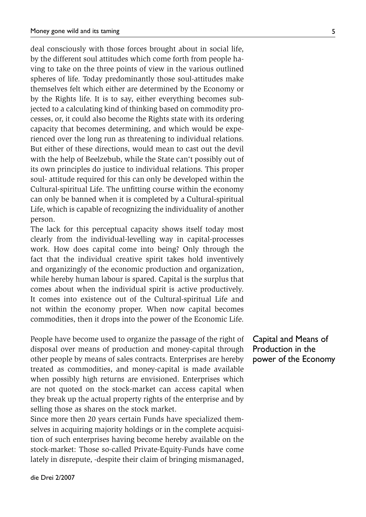deal consciously with those forces brought about in social life, by the different soul attitudes which come forth from people having to take on the three points of view in the various outlined spheres of life. Today predominantly those soul-attitudes make themselves felt which either are determined by the Economy or by the Rights life. It is to say, either everything becomes subjected to a calculating kind of thinking based on commodity processes, or, it could also become the Rights state with its ordering capacity that becomes determining, and which would be experienced over the long run as threatening to individual relations. But either of these directions, would mean to cast out the devil with the help of Beelzebub, while the State can't possibly out of its own principles do justice to individual relations. This proper soul- attitude required for this can only be developed within the Cultural-spiritual Life. The unfitting course within the economy can only be banned when it is completed by a Cultural-spiritual Life, which is capable of recognizing the individuality of another person.

The lack for this perceptual capacity shows itself today most clearly from the individual-levelling way in capital-processes work. How does capital come into being? Only through the fact that the individual creative spirit takes hold inventively and organizingly of the economic production and organization, while hereby human labour is spared. Capital is the surplus that comes about when the individual spirit is active productively. It comes into existence out of the Cultural-spiritual Life and not within the economy proper. When now capital becomes commodities, then it drops into the power of the Economic Life.

People have become used to organize the passage of the right of disposal over means of production and money-capital through other people by means of sales contracts. Enterprises are hereby treated as commodities, and money-capital is made available when possibly high returns are envisioned. Enterprises which are not quoted on the stock-market can access capital when they break up the actual property rights of the enterprise and by selling those as shares on the stock market.

Since more then 20 years certain Funds have specialized themselves in acquiring majority holdings or in the complete acquisition of such enterprises having become hereby available on the stock-market: Those so-called Private-Equity-Funds have come lately in disrepute, -despite their claim of bringing mismanaged,

Capital and Means of Production in the power of the Economy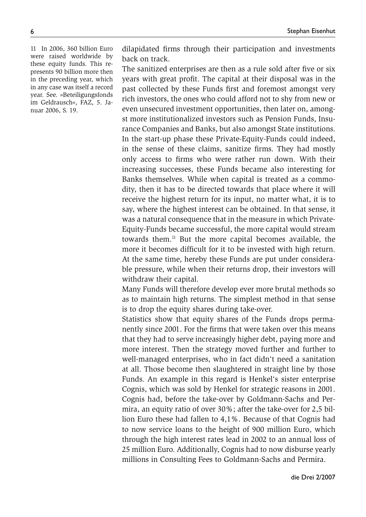11 In 2006, 360 billion Euro were raised worldwide by these equity funds. This represents 90 billion more then in the preceding year, which in any case was itself a record year. See. »Beteiligungsfonds im Geldrausch«, FAZ, 5. Januar 2006, S. 19.

dilapidated firms through their participation and investments back on track.

The sanitized enterprises are then as a rule sold after five or six years with great profit. The capital at their disposal was in the past collected by these Funds first and foremost amongst very rich investors, the ones who could afford not to shy from new or even unsecured investment opportunities, then later on, amongst more institutionalized investors such as Pension Funds, Insurance Companies and Banks, but also amongst State institutions. In the start-up phase these Private-Equity-Funds could indeed, in the sense of these claims, sanitize firms. They had mostly only access to firms who were rather run down. With their increasing successes, these Funds became also interesting for Banks themselves. While when capital is treated as a commodity, then it has to be directed towards that place where it will receive the highest return for its input, no matter what, it is to say, where the highest interest can be obtained. In that sense, it was a natural consequence that in the measure in which Private-Equity-Funds became successful, the more capital would stream towards them.11 But the more capital becomes available, the more it becomes difficult for it to be invested with high return. At the same time, hereby these Funds are put under considerable pressure, while when their returns drop, their investors will withdraw their capital.

Many Funds will therefore develop ever more brutal methods so as to maintain high returns. The simplest method in that sense is to drop the equity shares during take-over.

Statistics show that equity shares of the Funds drops permanently since 2001. For the firms that were taken over this means that they had to serve increasingly higher debt, paying more and more interest. Then the strategy moved further and further to well-managed enterprises, who in fact didn't need a sanitation at all. Those become then slaughtered in straight line by those Funds. An example in this regard is Henkel's sister enterprise Cognis, which was sold by Henkel for strategic reasons in 2001. Cognis had, before the take-over by Goldmann-Sachs and Permira, an equity ratio of over 30%; after the take-over for 2,5 billion Euro these had fallen to 4,1%. Because of that Cognis had to now service loans to the height of 900 million Euro, which through the high interest rates lead in 2002 to an annual loss of 25 million Euro. Additionally, Cognis had to now disburse yearly millions in Consulting Fees to Goldmann-Sachs and Permira.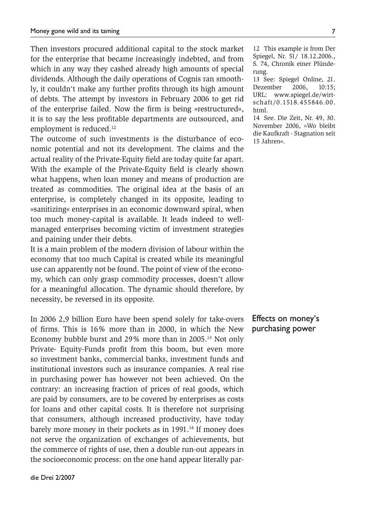Then investors procured additional capital to the stock market for the enterprise that became increasingly indebted, and from which in any way they cashed already high amounts of special dividends. Although the daily operations of Cognis ran smoothly, it couldn't make any further profits through its high amount of debts. The attempt by investors in February 2006 to get rid of the enterprise failed. Now the firm is being »restructured«, it is to say the less profitable departments are outsourced, and employment is reduced.<sup>12</sup>

The outcome of such investments is the disturbance of economic potential and not its development. The claims and the actual reality of the Private-Equity field are today quite far apart. With the example of the Private-Equity field is clearly shown what happens, when loan money and means of production are treated as commodities. The original idea at the basis of an enterprise, is completely changed in its opposite, leading to »sanitizing« enterprises in an economic downward spiral, when too much money-capital is available. It leads indeed to wellmanaged enterprises becoming victim of investment strategies and paining under their debts.

It is a main problem of the modern division of labour within the economy that too much Capital is created while its meaningful use can apparently not be found. The point of view of the economy, which can only grasp commodity processes, doesn't allow for a meaningful allocation. The dynamic should therefore, by necessity, be reversed in its opposite.

In 2006 2,9 billion Euro have been spend solely for take-overs of firms. This is 16% more than in 2000, in which the New Economy bubble burst and 29% more than in 2005.<sup>13</sup> Not only Private- Equity-Funds profit from this boom, but even more so investment banks, commercial banks, investment funds and institutional investors such as insurance companies. A real rise in purchasing power has however not been achieved. On the contrary: an increasing fraction of prices of real goods, which are paid by consumers, are to be covered by enterprises as costs for loans and other capital costs. It is therefore not surprising that consumers, although increased productivity, have today barely more money in their pockets as in 1991.<sup>14</sup> If money does not serve the organization of exchanges of achievements, but the commerce of rights of use, then a double run-out appears in the socioeconomic process: on the one hand appear literally par-

12 This example is from Der Spiegel, Nr. 51/ 18.12.2006., S. 74, Chronik einer Plünderung.

13 See: Spiegel Online, 21. Dezember 2006, 10:15; URL: www.spiegel.de/wirtschaft/0.1518.455846.00. html.

14 See. Die Zeit, Nr. 49, 30. November 2006, »Wo bleibt die Kaufkraft - Stagnation seit 15 Jahren«.

Effects on money's purchasing power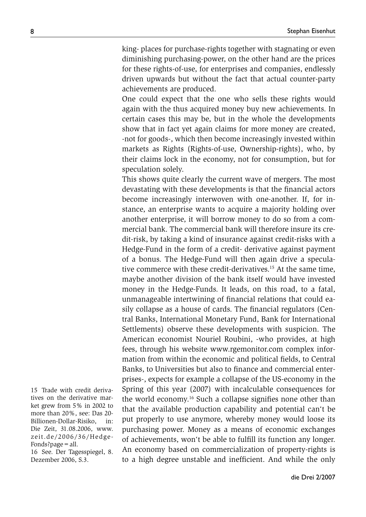king- places for purchase-rights together with stagnating or even diminishing purchasing-power, on the other hand are the prices for these rights-of-use, for enterprises and companies, endlessly driven upwards but without the fact that actual counter-party achievements are produced.

One could expect that the one who sells these rights would again with the thus acquired money buy new achievements. In certain cases this may be, but in the whole the developments show that in fact yet again claims for more money are created, -not for goods-, which then become increasingly invested within markets as Rights (Rights-of-use, Ownership-rights), who, by their claims lock in the economy, not for consumption, but for speculation solely.

This shows quite clearly the current wave of mergers. The most devastating with these developments is that the financial actors become increasingly interwoven with one-another. If, for instance, an enterprise wants to acquire a majority holding over another enterprise, it will borrow money to do so from a commercial bank. The commercial bank will therefore insure its credit-risk, by taking a kind of insurance against credit-risks with a Hedge-Fund in the form of a credit- derivative against payment of a bonus. The Hedge-Fund will then again drive a speculative commerce with these credit-derivatives.<sup>15</sup> At the same time, maybe another division of the bank itself would have invested money in the Hedge-Funds. It leads, on this road, to a fatal, unmanageable intertwining of financial relations that could easily collapse as a house of cards. The financial regulators (Central Banks, International Monetary Fund, Bank for International Settlements) observe these developments with suspicion. The American economist Nouriel Roubini, -who provides, at high fees, through his website www.rgemonitor.com complex information from within the economic and political fields, to Central Banks, to Universities but also to finance and commercial enterprises-, expects for example a collapse of the US-economy in the Spring of this year (2007) with incalculable consequences for the world economy.16 Such a collapse signifies none other than that the available production capability and potential can't be put properly to use anymore, whereby money would loose its purchasing power. Money as a means of economic exchanges of achievements, won't be able to fulfill its function any longer. An economy based on commercialization of property-rights is to a high degree unstable and inefficient. And while the only

16 See. Der Tagesspiegel, 8. Dezember 2006, S.3.

<sup>15</sup> Trade with credit derivatives on the derivative market grew from 5% in 2002 to more than 20%, see: Das 20- Billionen-Dollar-Risiko, in: Die Zeit, 31.08.2006, www. zeit.de/2006/36/Hedge-Fonds?page=all.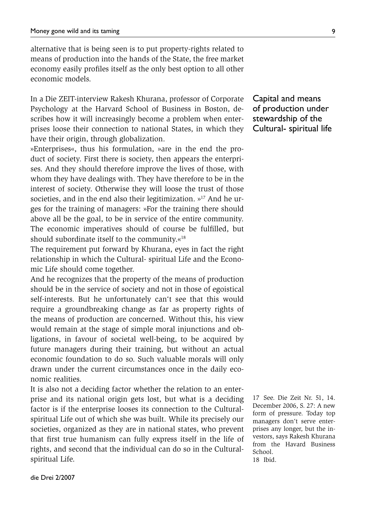alternative that is being seen is to put property-rights related to means of production into the hands of the State, the free market economy easily profiles itself as the only best option to all other economic models.

In a Die ZEIT-interview Rakesh Khurana, professor of Corporate Psychology at the Harvard School of Business in Boston, describes how it will increasingly become a problem when enterprises loose their connection to national States, in which they have their origin, through globalization.

»Enterprises«, thus his formulation, »are in the end the product of society. First there is society, then appears the enterprises. And they should therefore improve the lives of those, with whom they have dealings with. They have therefore to be in the interest of society. Otherwise they will loose the trust of those societies, and in the end also their legitimization.  $v<sup>17</sup>$  And he urges for the training of managers: »For the training there should above all be the goal, to be in service of the entire community. The economic imperatives should of course be fulfilled, but should subordinate itself to the community.«18

The requirement put forward by Khurana, eyes in fact the right relationship in which the Cultural- spiritual Life and the Economic Life should come together.

And he recognizes that the property of the means of production should be in the service of society and not in those of egoistical self-interests. But he unfortunately can't see that this would require a groundbreaking change as far as property rights of the means of production are concerned. Without this, his view would remain at the stage of simple moral injunctions and obligations, in favour of societal well-being, to be acquired by future managers during their training, but without an actual economic foundation to do so. Such valuable morals will only drawn under the current circumstances once in the daily economic realities.

It is also not a deciding factor whether the relation to an enterprise and its national origin gets lost, but what is a deciding factor is if the enterprise looses its connection to the Culturalspiritual Life out of which she was built. While its precisely our societies, organized as they are in national states, who prevent that first true humanism can fully express itself in the life of rights, and second that the individual can do so in the Culturalspiritual Life.

Capital and means of production under stewardship of the Cultural- spiritual life

17 See. Die Zeit Nr. 51, 14. December 2006, S. 27: A new form of pressure. Today top managers don't serve enterprises any longer, but the investors, says Rakesh Khurana from the Havard Business School. 18 Ibid.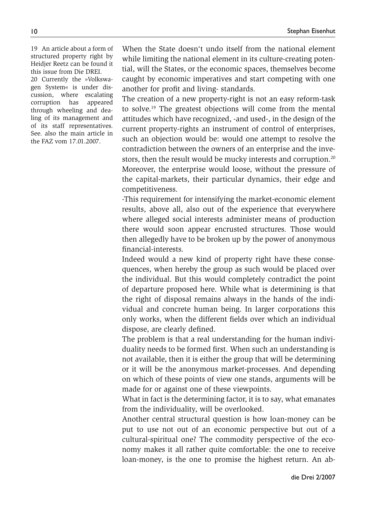19 An article about a form of structured property right by Heidjer Reetz can be found it this issue from Die DREI. 20 Currently the »Volkswagen System« is under discussion, where escalating corruption has appeared through wheeling and dealing of its management and of its staff representatives. See. also the main article in the FAZ vom 17.01.2007.

When the State doesn't undo itself from the national element while limiting the national element in its culture-creating potential, will the States, or the economic spaces, themselves become caught by economic imperatives and start competing with one another for profit and living- standards.

The creation of a new property-right is not an easy reform-task to solve.19 The greatest objections will come from the mental attitudes which have recognized, -and used-, in the design of the current property-rights an instrument of control of enterprises, such an objection would be: would one attempt to resolve the contradiction between the owners of an enterprise and the investors, then the result would be mucky interests and corruption.<sup>20</sup> Moreover, the enterprise would loose, without the pressure of the capital-markets, their particular dynamics, their edge and competitiveness.

-This requirement for intensifying the market-economic element results, above all, also out of the experience that everywhere where alleged social interests administer means of production there would soon appear encrusted structures. Those would then allegedly have to be broken up by the power of anonymous financial-interests.

Indeed would a new kind of property right have these consequences, when hereby the group as such would be placed over the individual. But this would completely contradict the point of departure proposed here. While what is determining is that the right of disposal remains always in the hands of the individual and concrete human being. In larger corporations this only works, when the different fields over which an individual dispose, are clearly defined.

The problem is that a real understanding for the human individuality needs to be formed first. When such an understanding is not available, then it is either the group that will be determining or it will be the anonymous market-processes. And depending on which of these points of view one stands, arguments will be made for or against one of these viewpoints.

What in fact is the determining factor, it is to say, what emanates from the individuality, will be overlooked.

Another central structural question is how loan-money can be put to use not out of an economic perspective but out of a cultural-spiritual one? The commodity perspective of the economy makes it all rather quite comfortable: the one to receive loan-money, is the one to promise the highest return. An ab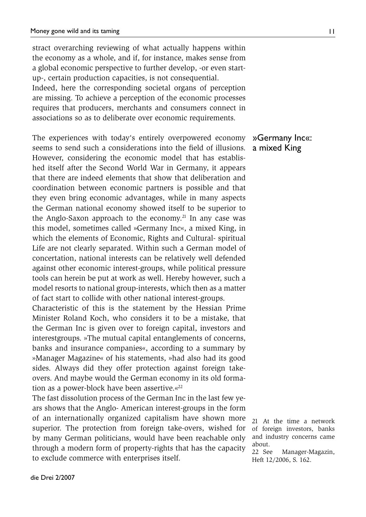stract overarching reviewing of what actually happens within the economy as a whole, and if, for instance, makes sense from a global economic perspective to further develop, -or even startup-, certain production capacities, is not consequential. Indeed, here the corresponding societal organs of perception are missing. To achieve a perception of the economic processes requires that producers, merchants and consumers connect in associations so as to deliberate over economic requirements.

The experiences with today's entirely overpowered economy seems to send such a considerations into the field of illusions. However, considering the economic model that has established itself after the Second World War in Germany, it appears that there are indeed elements that show that deliberation and coordination between economic partners is possible and that they even bring economic advantages, while in many aspects the German national economy showed itself to be superior to the Anglo-Saxon approach to the economy.<sup>21</sup> In any case was this model, sometimes called »Germany Inc«, a mixed King, in which the elements of Economic, Rights and Cultural- spiritual Life are not clearly separated. Within such a German model of concertation, national interests can be relatively well defended against other economic interest-groups, while political pressure tools can herein be put at work as well. Hereby however, such a model resorts to national group-interests, which then as a matter of fact start to collide with other national interest-groups.

Characteristic of this is the statement by the Hessian Prime Minister Roland Koch, who considers it to be a mistake, that the German Inc is given over to foreign capital, investors and interestgroups. »The mutual capital entanglements of concerns, banks and insurance companies«, according to a summary by »Manager Magazine« of his statements, »had also had its good sides. Always did they offer protection against foreign takeovers. And maybe would the German economy in its old formation as a power-block have been assertive. $\frac{e^{2}}{2}$ 

The fast dissolution process of the German Inc in the last few years shows that the Anglo- American interest-groups in the form of an internationally organized capitalism have shown more superior. The protection from foreign take-overs, wished for by many German politicians, would have been reachable only through a modern form of property-rights that has the capacity to exclude commerce with enterprises itself.

### »Germany Inc«: a mixed King

21 At the time a network of foreign investors, banks and industry concerns came about.

22 See Manager-Magazin, Heft 12/2006, S. 162.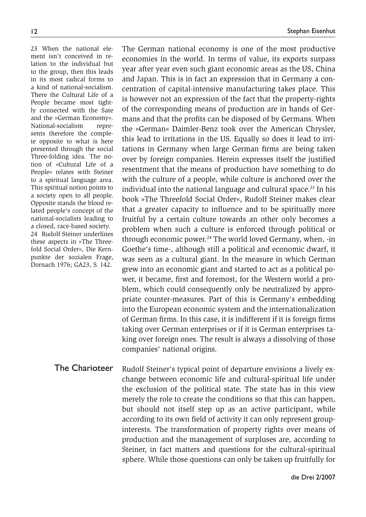23 When the national element isn't conceived in relation to the individual but to the group, then this leads in its most radical forms to a kind of national-socialism. There the Cultural Life of a People became most tightly connected with the Sate and the »German Economy«. National-socialism represents therefore the complete opposite to what is here presented through the social Three-folding idea. The notion of »Cultural Life of a People« relates with Steiner to a spiritual language area. This spiritual notion points to a society open to all people. Opposite stands the blood related people's concept of the national-socialists leading to a closed, race-based society. 24 Rudolf Steiner underlines these aspects in »The Threefold Social Order«, Die Kernpunkte der sozialen Frage, Dornach 1976; GA23, S. 142.

The German national economy is one of the most productive economies in the world. In terms of value, its exports surpass year after year even such giant economic areas as the US, China and Japan. This is in fact an expression that in Germany a concentration of capital-intensive manufacturing takes place. This is however not an expression of the fact that the property-rights of the corresponding means of production are in hands of Germans and that the profits can be disposed of by Germans. When the »German« Daimler-Benz took over the American Chrysler, this lead to irritations in the US. Equally so does it lead to irritations in Germany when large German firms are being taken over by foreign companies. Herein expresses itself the justified resentment that the means of production have something to do with the culture of a people, while culture is anchored over the individual into the national language and cultural space.<sup>23</sup> In his book »The Threefold Social Order«, Rudolf Steiner makes clear that a greater capacity to influence and to be spiritually more fruitful by a certain culture towards an other only becomes a problem when such a culture is enforced through political or through economic power.<sup>24</sup> The world loved Germany, when, -in Goethe's time-, although still a political and economic dwarf, it was seen as a cultural giant. In the measure in which German grew into an economic giant and started to act as a political power, it became, first and foremost, for the Western world a problem, which could consequently only be neutralized by appropriate counter-measures. Part of this is Germany's embedding into the European economic system and the internationalization of German firms. In this case, it is indifferent if it is foreign firms taking over German enterprises or if it is German enterprises taking over foreign ones. The result is always a dissolving of those companies' national origins.

Rudolf Steiner's typical point of departure envisions a lively exchange between economic life and cultural-spiritual life under the exclusion of the political state. The state has in this view merely the role to create the conditions so that this can happen, but should not itself step up as an active participant, while according to its own field of activity it can only represent groupinterests. The transformation of property rights over means of production and the management of surpluses are, according to Steiner, in fact matters and questions for the cultural-spiritual sphere. While those questions can only be taken up fruitfully for The Charioteer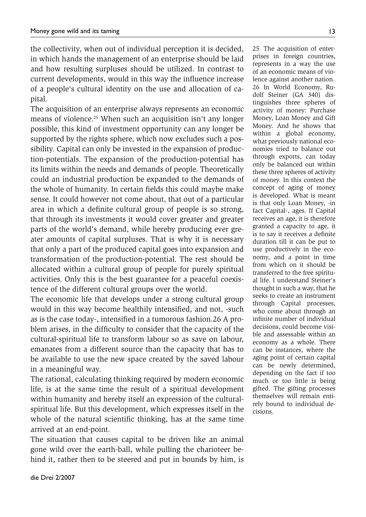the collectivity, when out of individual perception it is decided, in which hands the management of an enterprise should be laid and how resulting surpluses should be utilized. In contrast to current developments, would in this way the influence increase of a people's cultural identity on the use and allocation of capital.

The acquisition of an enterprise always represents an economic means of violence.<sup>25</sup> When such an acquisition isn't any longer possible, this kind of investment opportunity can any longer be supported by the rights sphere, which now excludes such a possibility. Capital can only be invested in the expansion of production-potentials. The expansion of the production-potential has its limits within the needs and demands of people. Theoretically could an industrial production be expanded to the demands of the whole of humanity. In certain fields this could maybe make sense. It could however not come about, that out of a particular area in which a definite cultural group of people is so strong, that through its investments it would cover greater and greater parts of the world's demand, while hereby producing ever greater amounts of capital surpluses. That is why it is necessary that only a part of the produced capital goes into expansion and transformation of the production-potential. The rest should be allocated within a cultural group of people for purely spiritual activities. Only this is the best guarantee for a peaceful coexistence of the different cultural groups over the world.

The economic life that develops under a strong cultural group would in this way become healthily intensified, and not, -such as is the case today-, intensified in a tumorous fashion.26 A problem arises, in the difficulty to consider that the capacity of the cultural-spiritual life to transform labour so as save on labour, emanates from a different source than the capacity that has to be available to use the new space created by the saved labour in a meaningful way.

The rational, calculating thinking required by modern economic life, is at the same time the result of a spiritual development within humanity and hereby itself an expression of the culturalspiritual life. But this development, which expresses itself in the whole of the natural scientific thinking, has at the same time arrived at an end-point.

The situation that causes capital to be driven like an animal gone wild over the earth-ball, while pulling the charioteer behind it, rather then to be steered and put in bounds by him, is

25 The acquisition of enterprises in foreign countries, represents in a way the use of an economic means of violence against another nation. 26 In World Economy, Rudolf Steiner (GA 340) distinguishes three spheres of activity of money: Purchase Money, Loan Money and Gift Money. And he shows that within a global economy, what previously national economies tried to balance out through exports, can today only be balanced out within these three spheres of activity of money. In this context the concept of aging of money is developed. What is meant is that only Loan Money, -in fact Capital-, ages. If Capital receives an age, it is therefore granted a capacity to age, it is to say it receives a definite duration till it can be put to use productively in the economy, and a point in time from which on it should be transferred to the free spiritual life. I understand Steiner's thought in such a way, that he seeks to create an instrument through Capital processes, who come about through an infinite number of individual decisions, could become visible and assessable within an economy as a whole. There can be instances, where the aging point of certain capital can be newly determined, depending on the fact if too much or too little is being gifted. The gifting processes themselves will remain entirely bound to individual decisions.